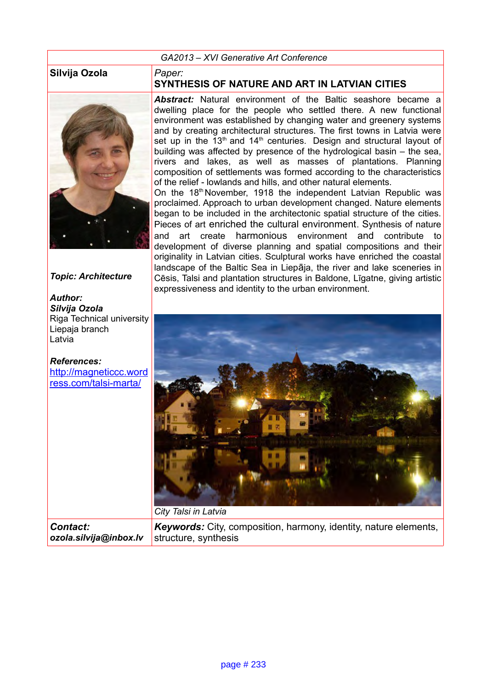## *GA2013 – XVI Generative Art Conference*

## **Silvija Ozola** *Paper:*



## *Topic: Architecture*

*Author: Silvija Ozola* Riga Technical university Liepaja branch Latvia

*References:* http://magneticcc.word ress.[com/talsi-marta/](http://magneticcc.wordress.com/talsi-marta/)

## **SYNTHESIS OF NATURE AND ART IN LATVIAN CITIES**

*Abstract:* Natural environment of the Baltic seashore became a dwelling place for the people who settled there. A new functional environment was established by changing water and greenery systems and by creating architectural structures. The first towns in Latvia were set up in the  $13<sup>th</sup>$  and  $14<sup>th</sup>$  centuries. Design and structural layout of building was affected by presence of the hydrological basin – the sea, rivers and lakes, as well as masses of plantations. Planning composition of settlements was formed according to the characteristics of the relief - lowlands and hills, and other natural elements.

On the 18<sup>th</sup> November, 1918 the independent Latvian Republic was proclaimed. Approach to urban development changed. Nature elements began to be included in the architectonic spatial structure of the cities. Pieces of art enriched the cultural environment. Synthesis of nature and art create harmonious environment and contribute to development of diverse planning and spatial compositions and their originality in Latvian cities. Sculptural works have enriched the coastal landscape of the Baltic Sea in Liepāja, the river and lake sceneries in Cēsis, Talsi and plantation structures in Baldone, Līgatne, giving artistic expressiveness and identity to the urban environment.



*Contact: ozola.silvija@inbox.lv*

*Keywords:* City, composition, harmony, identity, nature elements, structure, synthesis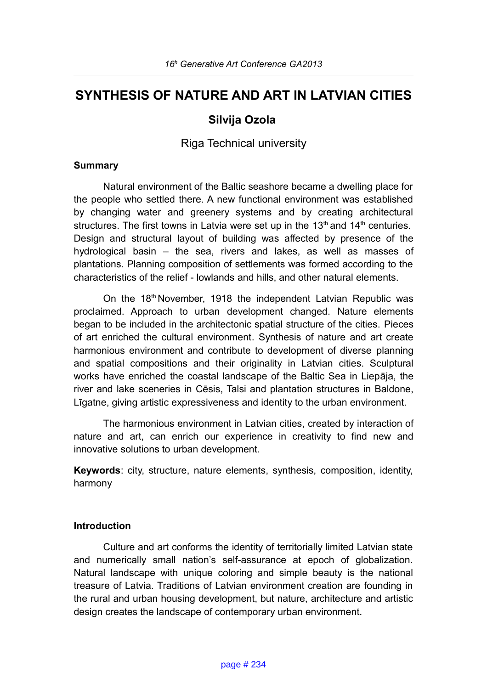# **SYNTHESIS OF NATURE AND ART IN LATVIAN CITIES**

## **Silvija Ozola**

Riga Technical university

#### **Summary**

Natural environment of the Baltic seashore became a dwelling place for the people who settled there. A new functional environment was established by changing water and greenery systems and by creating architectural structures. The first towns in Latvia were set up in the  $13<sup>th</sup>$  and  $14<sup>th</sup>$  centuries. Design and structural layout of building was affected by presence of the hydrological basin – the sea, rivers and lakes, as well as masses of plantations. Planning composition of settlements was formed according to the characteristics of the relief - lowlands and hills, and other natural elements.

On the 18<sup>th</sup> November, 1918 the independent Latvian Republic was proclaimed. Approach to urban development changed. Nature elements began to be included in the architectonic spatial structure of the cities. Pieces of art enriched the cultural environment. Synthesis of nature and art create harmonious environment and contribute to development of diverse planning and spatial compositions and their originality in Latvian cities. Sculptural works have enriched the coastal landscape of the Baltic Sea in Liepāja, the river and lake sceneries in Cēsis, Talsi and plantation structures in Baldone, Līgatne, giving artistic expressiveness and identity to the urban environment.

The harmonious environment in Latvian cities, created by interaction of nature and art, can enrich our experience in creativity to find new and innovative solutions to urban development.

**Keywords**: city, structure, nature elements, synthesis, composition, identity, harmony

#### **Introduction**

Culture and art conforms the identity of territorially limited Latvian state and numerically small nation's self-assurance at epoch of globalization. Natural landscape with unique coloring and simple beauty is the national treasure of Latvia. Traditions of Latvian environment creation are founding in the rural and urban housing development, but nature, architecture and artistic design creates the landscape of contemporary urban environment.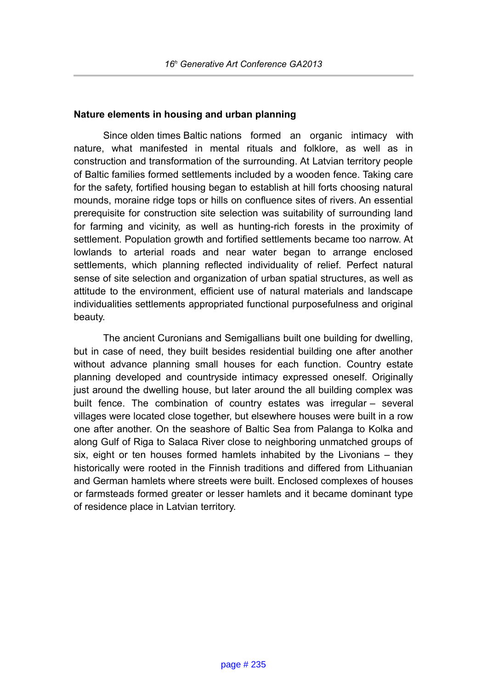## **Nature elements in housing and urban planning**

Since olden times Baltic nations formed an organic intimacy with nature, what manifested in mental rituals and folklore, as well as in construction and transformation of the surrounding. At Latvian territory people of Baltic families formed settlements included by a wooden fence. Taking care for the safety, fortified housing began to establish at hill forts choosing natural mounds, moraine ridge tops or hills on confluence sites of rivers. An essential prerequisite for construction site selection was suitability of surrounding land for farming and vicinity, as well as hunting-rich forests in the proximity of settlement. Population growth and fortified settlements became too narrow. At lowlands to arterial roads and near water began to arrange enclosed settlements, which planning reflected individuality of relief. Perfect natural sense of site selection and organization of urban spatial structures, as well as attitude to the environment, efficient use of natural materials and landscape individualities settlements appropriated functional purposefulness and original beauty.

The ancient Curonians and Semigallians built one building for dwelling, but in case of need, they built besides residential building one after another without advance planning small houses for each function. Country estate planning developed and countryside intimacy expressed oneself. Originally just around the dwelling house, but later around the all building complex was built fence. The combination of country estates was irregular – several villages were located close together, but elsewhere houses were built in a row one after another. On the seashore of Baltic Sea from Palanga to Kolka and along Gulf of Riga to Salaca River close to neighboring unmatched groups of six, eight or ten houses formed hamlets inhabited by the Livonians – they historically were rooted in the Finnish traditions and differed from Lithuanian and German hamlets where streets were built. Enclosed complexes of houses or farmsteads formed greater or lesser hamlets and it became dominant type of residence place in Latvian territory.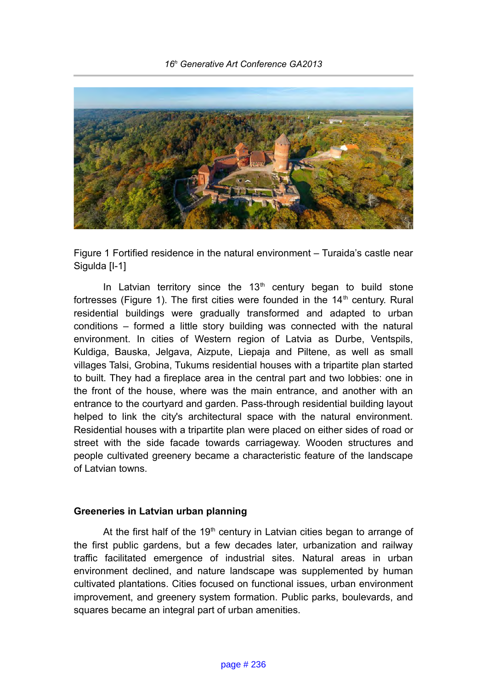

Figure 1 Fortified residence in the natural environment – Turaida's castle near Sigulda [I-1]

In Latvian territory since the  $13<sup>th</sup>$  century began to build stone fortresses (Figure 1). The first cities were founded in the  $14<sup>th</sup>$  century. Rural residential buildings were gradually transformed and adapted to urban conditions – formed a little story building was connected with the natural environment. In cities of Western region of Latvia as Durbe, Ventspils, Kuldiga, Bauska, Jelgava, Aizpute, Liepaja and Piltene, as well as small villages Talsi, Grobina, Tukums residential houses with a tripartite plan started to built. They had a fireplace area in the central part and two lobbies: one in the front of the house, where was the main entrance, and another with an entrance to the courtyard and garden. Pass-through residential building layout helped to link the city's architectural space with the natural environment. Residential houses with a tripartite plan were placed on either sides of road or street with the side facade towards carriageway. Wooden structures and people cultivated greenery became a characteristic feature of the landscape of Latvian towns.

#### **Greeneries in Latvian urban planning**

At the first half of the  $19<sup>th</sup>$  century in Latvian cities began to arrange of the first public gardens, but a few decades later, urbanization and railway traffic facilitated emergence of industrial sites. Natural areas in urban environment declined, and nature landscape was supplemented by human cultivated plantations. Cities focused on functional issues, urban environment improvement, and greenery system formation. Public parks, boulevards, and squares became an integral part of urban amenities.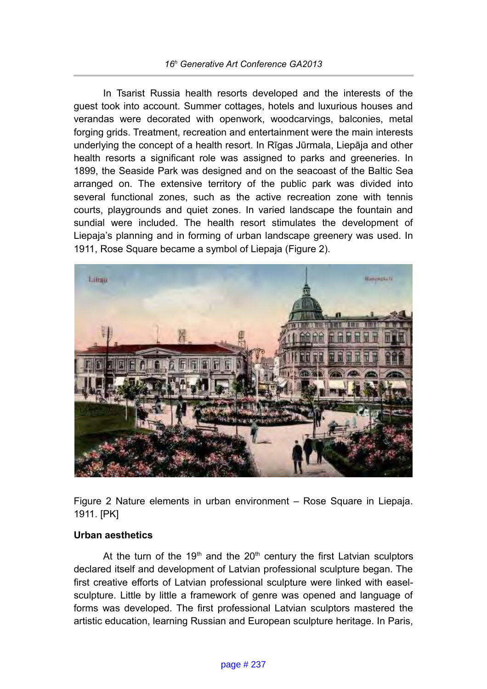In Tsarist Russia health resorts developed and the interests of the guest took into account. Summer cottages, hotels and luxurious houses and verandas were decorated with openwork, woodcarvings, balconies, metal forging grids. Treatment, recreation and entertainment were the main interests underlying the concept of a health resort. In Rīgas Jūrmala, Liepāja and other health resorts a significant role was assigned to parks and greeneries. In 1899, the Seaside Park was designed and on the seacoast of the Baltic Sea arranged on. The extensive territory of the public park was divided into several functional zones, such as the active recreation zone with tennis courts, playgrounds and quiet zones. In varied landscape the fountain and sundial were included. The health resort stimulates the development of Liepaja's planning and in forming of urban landscape greenery was used. In 1911, Rose Square became a symbol of Liepaja (Figure 2).



Figure 2 Nature elements in urban environment – Rose Square in Liepaja. 1911. [PK]

## **Urban aesthetics**

At the turn of the 19<sup>th</sup> and the  $20<sup>th</sup>$  century the first Latvian sculptors declared itself and development of Latvian professional sculpture began. The first creative efforts of Latvian professional sculpture were linked with easelsculpture. Little by little a framework of genre was opened and language of forms was developed. The first professional Latvian sculptors mastered the artistic education, learning Russian and European sculpture heritage. In Paris,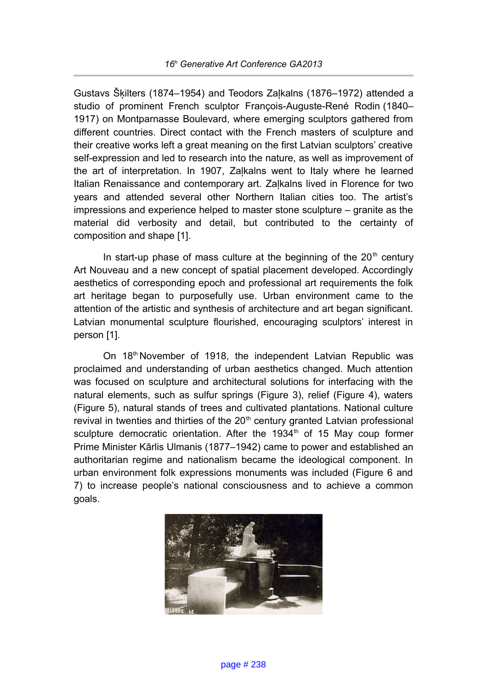Gustavs Šķilters (1874–1954) and Teodors Zaļkalns (1876–1972) attended a studio of prominent French sculptor François-Auguste-René Rodin (1840– 1917) on Montparnasse Boulevard, where emerging sculptors gathered from different countries. Direct contact with the French masters of sculpture and their creative works left a great meaning on the first Latvian sculptors' creative self-expression and led to research into the nature, as well as improvement of the art of interpretation. In 1907, Zaļkalns went to Italy where he learned Italian Renaissance and contemporary art. Zaļkalns lived in Florence for two years and attended several other Northern Italian cities too. The artist's impressions and experience helped to master stone sculpture – granite as the material did verbosity and detail, but contributed to the certainty of composition and shape [1].

In start-up phase of mass culture at the beginning of the  $20<sup>th</sup>$  century Art Nouveau and a new concept of spatial placement developed. Accordingly aesthetics of corresponding epoch and professional art requirements the folk art heritage began to purposefully use. Urban environment came to the attention of the artistic and synthesis of architecture and art began significant. Latvian monumental sculpture flourished, encouraging sculptors' interest in person [1].

On 18th November of 1918, the independent Latvian Republic was proclaimed and understanding of urban aesthetics changed. Much attention was focused on sculpture and architectural solutions for interfacing with the natural elements, such as sulfur springs (Figure 3), relief (Figure 4), waters (Figure 5), natural stands of trees and cultivated plantations. National culture revival in twenties and thirties of the  $20<sup>th</sup>$  century granted Latvian professional sculpture democratic orientation. After the  $1934<sup>th</sup>$  of 15 May coup former Prime Minister Kārlis Ulmanis (1877–1942) came to power and established an authoritarian regime and nationalism became the ideological component. In urban environment folk expressions monuments was included (Figure 6 and 7) to increase people's national consciousness and to achieve a common goals.

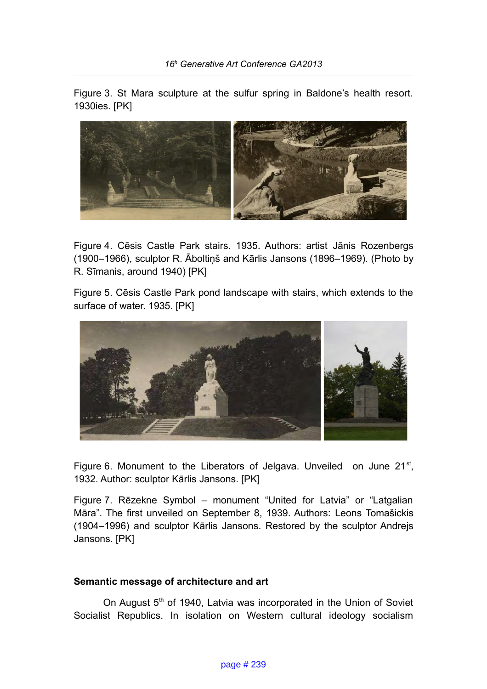Figure 3. St Mara sculpture at the sulfur spring in Baldone's health resort. 1930ies. [PK]



Figure 4. Cēsis Castle Park stairs. 1935. Authors: artist Jānis Rozenbergs (1900–1966), sculptor R. Āboltiņš and Kārlis Jansons (1896–1969). (Photo by R. Sīmanis, around 1940) [PK]

Figure 5. Cēsis Castle Park pond landscape with stairs, which extends to the surface of water. 1935. [PK]



Figure 6. Monument to the Liberators of Jelgava. Unveiled on June  $21^{st}$ , 1932. Author: sculptor Kārlis Jansons. [PK]

Figure 7. Rēzekne Symbol – monument "United for Latvia" or "Latgalian Māra". The first unveiled on September 8, 1939. Authors: Leons Tomašickis (1904–1996) and sculptor Kārlis Jansons. Restored by the sculptor Andrejs Jansons. [PK]

## **Semantic message of architecture and art**

On August 5<sup>th</sup> of 1940, Latvia was incorporated in the Union of Soviet Socialist Republics. In isolation on Western cultural ideology socialism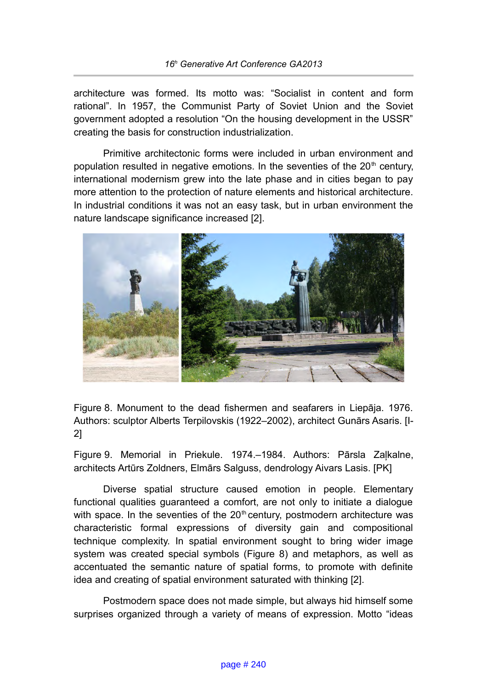architecture was formed. Its motto was: "Socialist in content and form rational". In 1957, the Communist Party of Soviet Union and the Soviet government adopted a resolution "On the housing development in the USSR" creating the basis for construction industrialization.

Primitive architectonic forms were included in urban environment and population resulted in negative emotions. In the seventies of the  $20<sup>th</sup>$  century, international modernism grew into the late phase and in cities began to pay more attention to the protection of nature elements and historical architecture. In industrial conditions it was not an easy task, but in urban environment the nature landscape significance increased [2].



Figure 8. Monument to the dead fishermen and seafarers in Liepāja. 1976. Authors: sculptor Alberts Terpilovskis (1922–2002), architect Gunārs Asaris. [I-2]

Figure 9. Memorial in Priekule. 1974.–1984. Authors: Pārsla Zaļkalne, architects Artūrs Zoldners, Elmārs Salguss, dendrology Aivars Lasis. [PK]

Diverse spatial structure caused emotion in people. Elementary functional qualities guaranteed a comfort, are not only to initiate a dialogue with space. In the seventies of the  $20<sup>th</sup>$  century, postmodern architecture was characteristic formal expressions of diversity gain and compositional technique complexity. In spatial environment sought to bring wider image system was created special symbols (Figure 8) and metaphors, as well as accentuated the semantic nature of spatial forms, to promote with definite idea and creating of spatial environment saturated with thinking [2].

Postmodern space does not made simple, but always hid himself some surprises organized through a variety of means of expression. Motto "ideas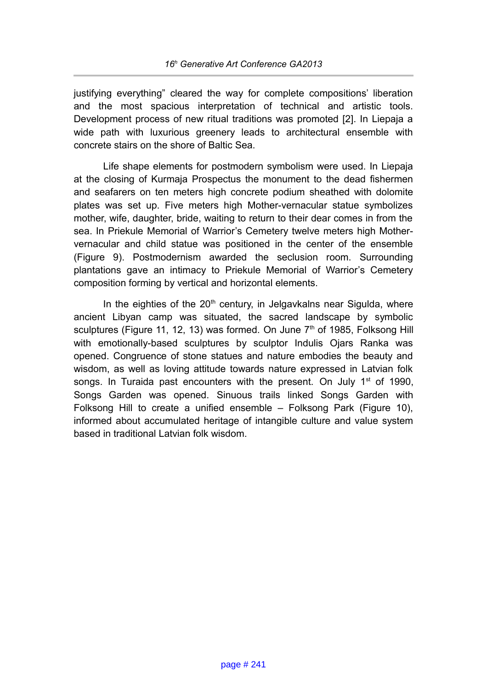justifying everything" cleared the way for complete compositions' liberation and the most spacious interpretation of technical and artistic tools. Development process of new ritual traditions was promoted [2]. In Liepaja a wide path with luxurious greenery leads to architectural ensemble with concrete stairs on the shore of Baltic Sea.

Life shape elements for postmodern symbolism were used. In Liepaja at the closing of Kurmaja Prospectus the monument to the dead fishermen and seafarers on ten meters high concrete podium sheathed with dolomite plates was set up. Five meters high Mother-vernacular statue symbolizes mother, wife, daughter, bride, waiting to return to their dear comes in from the sea. In Priekule Memorial of Warrior's Cemetery twelve meters high Mothervernacular and child statue was positioned in the center of the ensemble (Figure 9). Postmodernism awarded the seclusion room. Surrounding plantations gave an intimacy to Priekule Memorial of Warrior's Cemetery composition forming by vertical and horizontal elements.

In the eighties of the  $20<sup>th</sup>$  century, in Jelgavkalns near Sigulda, where ancient Libyan camp was situated, the sacred landscape by symbolic sculptures (Figure 11, 12, 13) was formed. On June 7<sup>th</sup> of 1985, Folksong Hill with emotionally-based sculptures by sculptor Indulis Ojars Ranka was opened. Congruence of stone statues and nature embodies the beauty and wisdom, as well as loving attitude towards nature expressed in Latvian folk songs. In Turaida past encounters with the present. On July 1<sup>st</sup> of 1990, Songs Garden was opened. Sinuous trails linked Songs Garden with Folksong Hill to create a unified ensemble – Folksong Park (Figure 10), informed about accumulated heritage of intangible culture and value system based in traditional Latvian folk wisdom.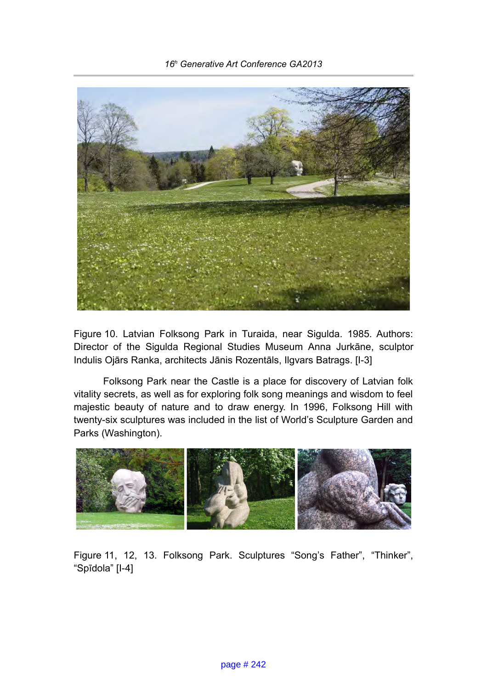

Figure 10. Latvian Folksong Park in Turaida, near Sigulda. 1985. Authors: Director of the Sigulda Regional Studies Museum Anna Jurkāne, sculptor Indulis Ojārs Ranka, architects Jānis Rozentāls, Ilgvars Batrags. [I-3]

Folksong Park near the Castle is a place for discovery of Latvian folk vitality secrets, as well as for exploring folk song meanings and wisdom to feel majestic beauty of nature and to draw energy. In 1996, Folksong Hill with twenty-six sculptures was included in the list of World's Sculpture Garden and Parks (Washington).



Figure 11, 12, 13. Folksong Park. Sculptures "Song's Father", "Thinker", "Spīdola" [I-4]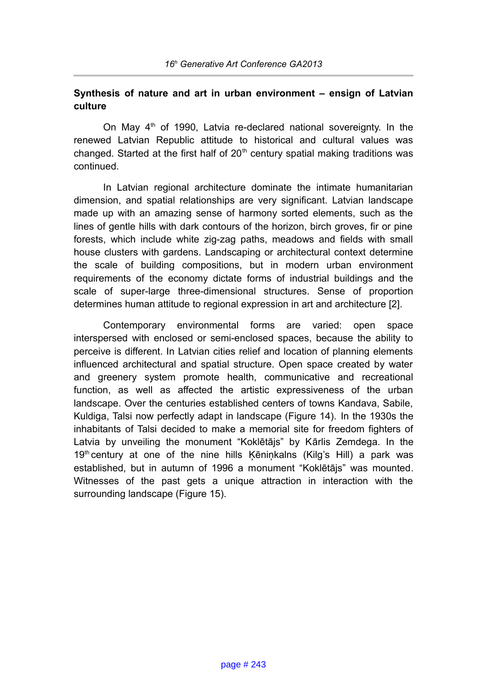## **Synthesis of nature and art in urban environment – ensign of Latvian culture**

On May  $4<sup>th</sup>$  of 1990, Latvia re-declared national sovereignty. In the renewed Latvian Republic attitude to historical and cultural values was changed. Started at the first half of  $20<sup>th</sup>$  century spatial making traditions was continued.

In Latvian regional architecture dominate the intimate humanitarian dimension, and spatial relationships are very significant. Latvian landscape made up with an amazing sense of harmony sorted elements, such as the lines of gentle hills with dark contours of the horizon, birch groves, fir or pine forests, which include white zig-zag paths, meadows and fields with small house clusters with gardens. Landscaping or architectural context determine the scale of building compositions, but in modern urban environment requirements of the economy dictate forms of industrial buildings and the scale of super-large three-dimensional structures. Sense of proportion determines human attitude to regional expression in art and architecture [2].

Contemporary environmental forms are varied: open space interspersed with enclosed or semi-enclosed spaces, because the ability to perceive is different. In Latvian cities relief and location of planning elements influenced architectural and spatial structure. Open space created by water and greenery system promote health, communicative and recreational function, as well as affected the artistic expressiveness of the urban landscape. Over the centuries established centers of towns Kandava, Sabile, Kuldiga, Talsi now perfectly adapt in landscape (Figure 14). In the 1930s the inhabitants of Talsi decided to make a memorial site for freedom fighters of Latvia by unveiling the monument "Koklētājs" by Kārlis Zemdega. In the 19<sup>th</sup> century at one of the nine hills Kēniņkalns (Kilg's Hill) a park was established, but in autumn of 1996 a monument "Koklētājs" was mounted. Witnesses of the past gets a unique attraction in interaction with the surrounding landscape (Figure 15).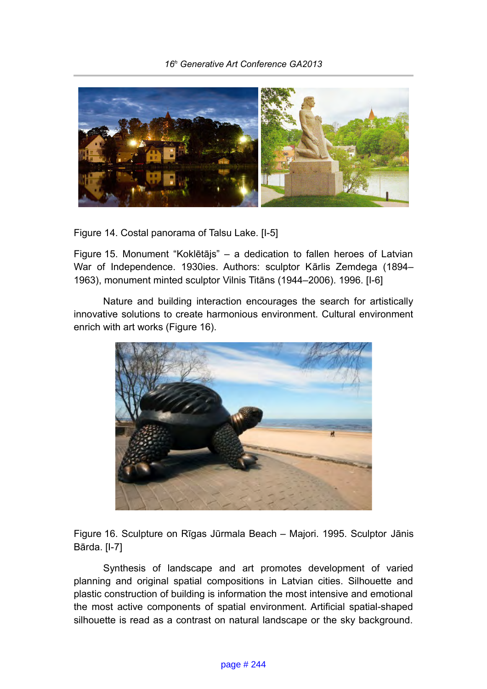

Figure 14. Costal panorama of Talsu Lake. [I-5]

Figure 15. Monument "Koklētājs" – a dedication to fallen heroes of Latvian War of Independence. 1930ies. Authors: sculptor Kārlis Zemdega (1894– 1963), monument minted sculptor Vilnis Titāns (1944–2006). 1996. [I-6]

Nature and building interaction encourages the search for artistically innovative solutions to create harmonious environment. Cultural environment enrich with art works (Figure 16).



Figure 16. Sculpture on Rīgas Jūrmala Beach – Majori. 1995. Sculptor Jānis Bārda. [I-7]

Synthesis of landscape and art promotes development of varied planning and original spatial compositions in Latvian cities. Silhouette and plastic construction of building is information the most intensive and emotional the most active components of spatial environment. Artificial spatial-shaped silhouette is read as a contrast on natural landscape or the sky background.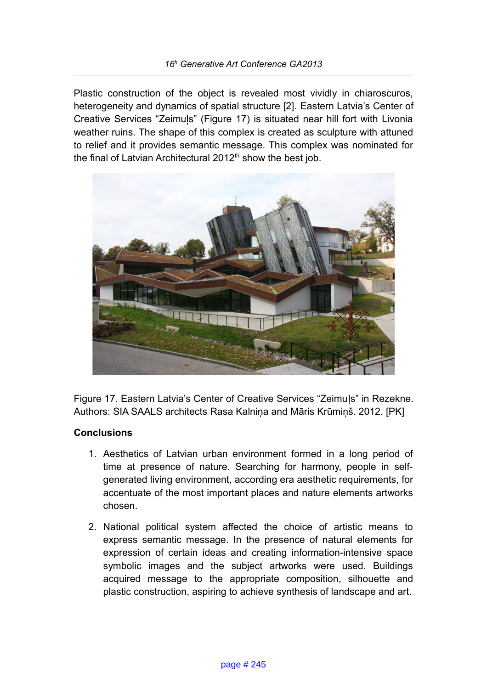Plastic construction of the object is revealed most vividly in chiaroscuros, heterogeneity and dynamics of spatial structure [2]. Eastern Latvia's Center of Creative Services "Zeimuļs" (Figure 17) is situated near hill fort with Livonia weather ruins. The shape of this complex is created as sculpture with attuned to relief and it provides semantic message. This complex was nominated for the final of Latvian Architectural  $2012<sup>th</sup>$  show the best job.



Figure 17. Eastern Latvia's Center of Creative Services "Zeimuļs" in Rezekne. Authors: SIA SAALS architects Rasa Kalniņa and Māris Krūmiņš. 2012. [PK]

## **Conclusions**

- 1. Aesthetics of Latvian urban environment formed in a long period of time at presence of nature. Searching for harmony, people in selfgenerated living environment, according era aesthetic requirements, for accentuate of the most important places and nature elements artworks chosen.
- 2. National political system affected the choice of artistic means to express semantic message. In the presence of natural elements for expression of certain ideas and creating information-intensive space symbolic images and the subject artworks were used. Buildings acquired message to the appropriate composition, silhouette and plastic construction, aspiring to achieve synthesis of landscape and art.